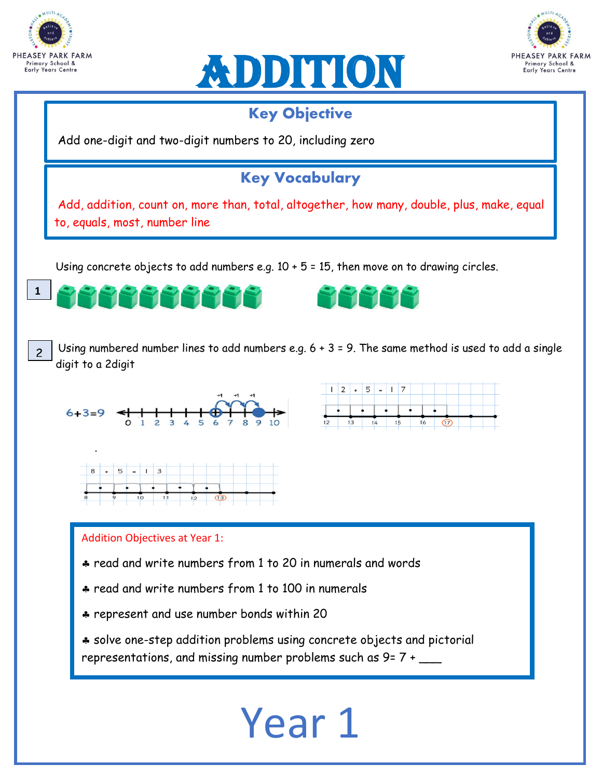





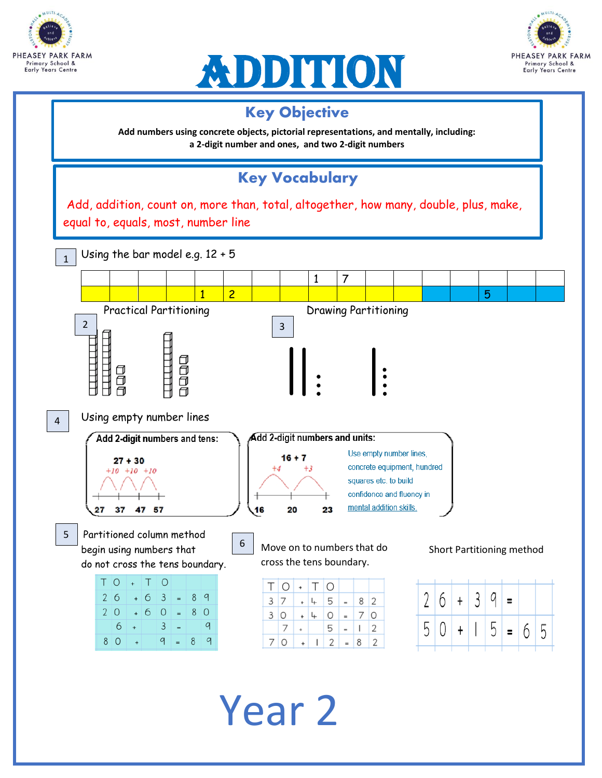





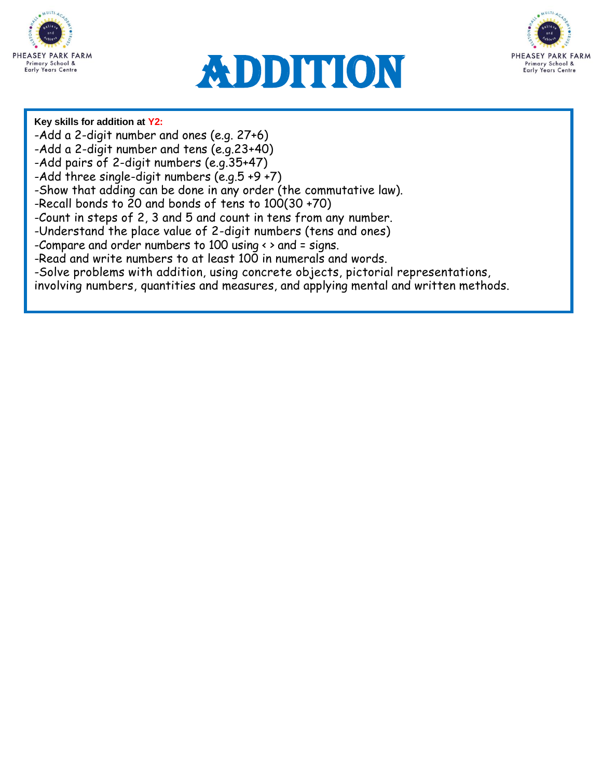

# Addition



#### **Key skills for addition at Y2:**

- -Add a 2-digit number and ones (e.g. 27+6)
- -Add a 2-digit number and tens (e.g.23+40)
- -Add pairs of 2-digit numbers (e.g.35+47)
- -Add three single-digit numbers (e.g.5 +9 +7)
- -Show that adding can be done in any order (the commutative law).
- -Recall bonds to 20 and bonds of tens to 100(30 +70)
- -Count in steps of 2, 3 and 5 and count in tens from any number.
- -Understand the place value of 2-digit numbers (tens and ones)
- -Compare and order numbers to 100 using  $\leftrightarrow$  and = signs.
- -Read and write numbers to at least 100 in numerals and words.
- -Solve problems with addition, using concrete objects, pictorial representations,
- involving numbers, quantities and measures, and applying mental and written methods.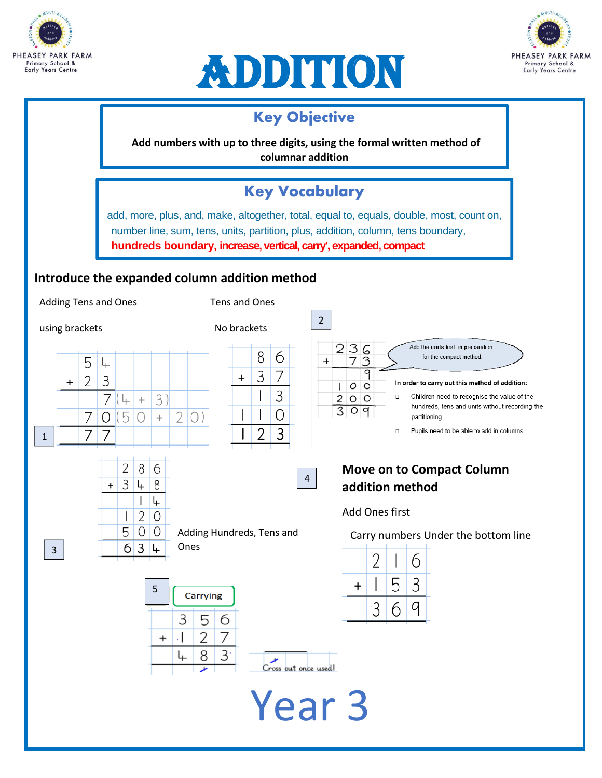





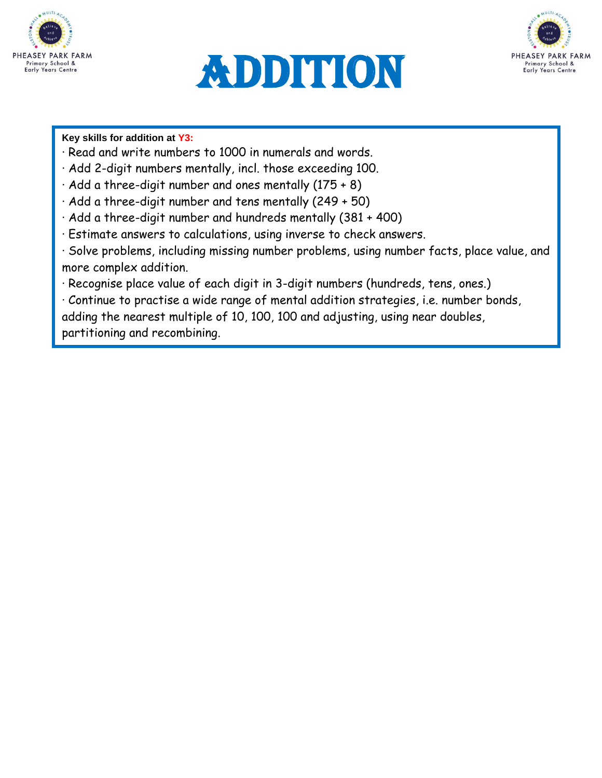![](_page_4_Picture_0.jpeg)

![](_page_4_Picture_1.jpeg)

![](_page_4_Picture_2.jpeg)

**Key skills for addition at Y3:**

- · Read and write numbers to 1000 in numerals and words.
- · Add 2-digit numbers mentally, incl. those exceeding 100.
- · Add a three-digit number and ones mentally (175 + 8)
- · Add a three-digit number and tens mentally (249 + 50)
- · Add a three-digit number and hundreds mentally (381 + 400)
- · Estimate answers to calculations, using inverse to check answers.

· Solve problems, including missing number problems, using number facts, place value, and more complex addition.

· Recognise place value of each digit in 3-digit numbers (hundreds, tens, ones.)

1 2 · Continue to practise a wide range of mental addition strategies, i.e. number bonds,

adding the nearest multiple of 10, 100, 100 and adjusting, using near doubles,

partitioning and recombining.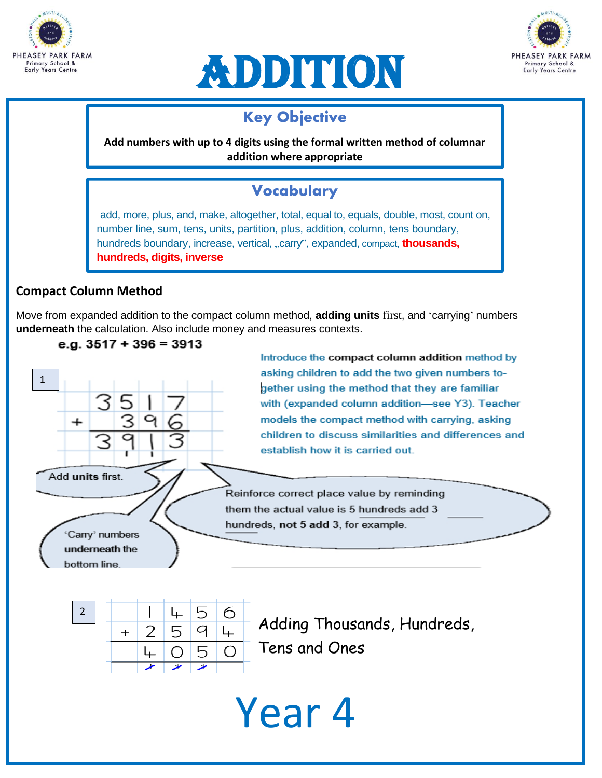![](_page_5_Picture_0.jpeg)

![](_page_5_Picture_1.jpeg)

![](_page_5_Picture_2.jpeg)

## **Key Objective**

**Add numbers with up to 4 digits using the formal written method of columnar addition where appropriate**

## **Vocabulary**

add, more, plus, and, make, altogether, total, equal to, equals, double, most, count on, number line, sum, tens, units, partition, plus, addition, column, tens boundary, hundreds boundary, increase, vertical, "carry", expanded, compact, **thousands, hundreds, digits, inverse** 

### **Compact Column Method**

 $^{+}$ 

Add units first.

'Carry' numbers underneath the bottom line.

1

Move from expanded addition to the compact column method, **adding units** first, and 'carrying' numbers **underneath** the calculation. Also include money and measures contexts.

![](_page_5_Figure_9.jpeg)

Key Objective<br>
digits using the formal w<br>
ddition where appropriat<br>
Vocabulary<br>
ltogether, total, equal to, experiment<br>
partition, plus, addition, co<br>
vertical, "carry", expanded<br>
column method, adding uy<br>
and measures con Introduce the compact column addition method by asking children to add the two given numbers together using the method that they are familiar with (expanded column addition-see Y3). Teacher models the compact method with carrying, asking children to discuss similarities and differences and establish how it is carried out.

Reinforce correct place value by reminding them the actual value is 5 hundreds add 3 hundreds, not 5 add 3, for example.

25 ↳ 6  $\overline{2}$  $L_{\pm}$ 5 q  $\ddot{}$  $\overline{5}$  $\bigcirc$ 4 ∩

Adding Thousands, Hundreds, Tens and Ones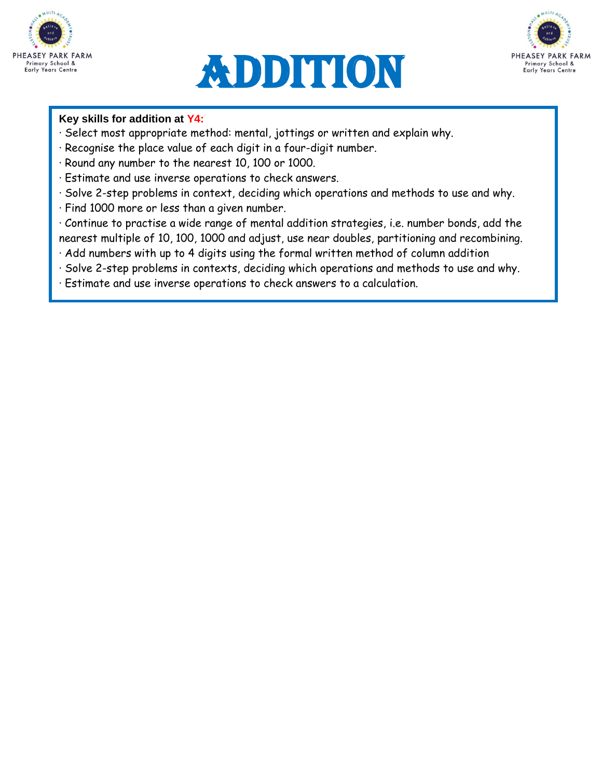![](_page_6_Picture_0.jpeg)

![](_page_6_Picture_1.jpeg)

![](_page_6_Picture_2.jpeg)

#### **Key skills for addition at Y4:**

- · Select most appropriate method: mental, jottings or written and explain why.
- · Recognise the place value of each digit in a four-digit number.
- · Round any number to the nearest 10, 100 or 1000.
- · Estimate and use inverse operations to check answers.
- · Solve 2-step problems in context, deciding which operations and methods to use and why.
- · Find 1000 more or less than a given number.
- · Continue to practise a wide range of mental addition strategies, i.e. number bonds, add the nearest multiple of 10, 100, 1000 and adjust, use near doubles, partitioning and recombining.
- · Add numbers with up to 4 digits using the formal written method of column addition
- · Solve 2-step problems in contexts, deciding which operations and methods to use and why.
- · Estimate and use inverse operations to check answers to a calculation.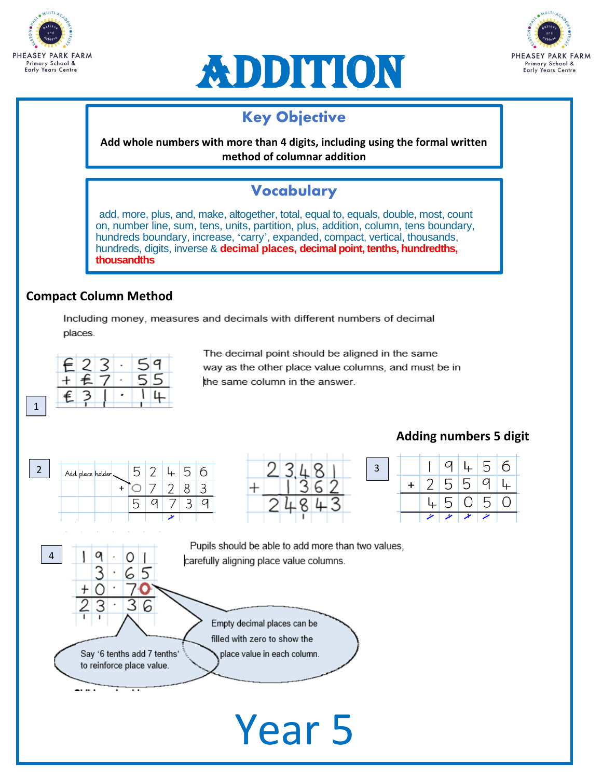![](_page_7_Picture_0.jpeg)

![](_page_7_Picture_1.jpeg)

![](_page_7_Picture_2.jpeg)

## **Key Objective**

**Add whole numbers with more than 4 digits, including using the formal written method of columnar addition**

# Vocabulary

**Key Objective**<br>
ore than 4 digits, includi<br>
thod of columnar addition<br> **Vocabulary**<br>
Itogether, total, equal to, expansion<br>
"carry", expanded, compare<br>
circarry", expanded, compare<br>
circar is with different nun<br>
circal p add, more, plus, and, make, altogether, total, equal to, equals, double, most, count on, number line, sum, tens, units, partition, plus, addition, column, tens boundary, hundreds boundary, increase, 'carry', expanded, compact, vertical, thousands, hundreds, digits, inverse & **decimal places, decimal point, tenths, hundredths, thousandths** 

### **Compact Column Method**

Including money, measures and decimals with different numbers of decimal places.

![](_page_7_Figure_9.jpeg)

1

4

The decimal point should be aligned in the same way as the other place value columns, and must be in the same column in the answer.

| $\mathbf{\hat{}}$ | Add place holder. | $\mathsf{L}$ |  |   | ◠<br>ت |
|-------------------|-------------------|--------------|--|---|--------|
|                   |                   |              |  |   |        |
|                   |                   | ∽<br>ر       |  | ◡ |        |
|                   |                   |              |  |   |        |

0

Say '6 tenths add 7 tenths'

to reinforce place value.

q

3

. . . .

|  | í. |              | 8 |  |
|--|----|--------------|---|--|
|  |    |              |   |  |
|  |    | $\mathbf{z}$ |   |  |
|  |    |              |   |  |

## **Adding numbers 5 digit**

![](_page_7_Figure_14.jpeg)

Pupils should be able to add more than two values, carefully aligning place value columns.

> Empty decimal places can be filled with zero to show the place value in each column.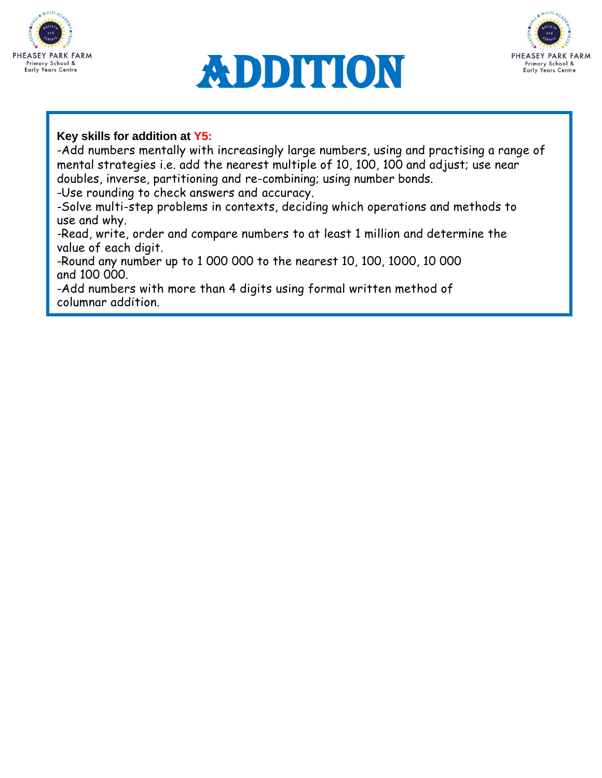![](_page_8_Picture_0.jpeg)

![](_page_8_Picture_1.jpeg)

![](_page_8_Picture_2.jpeg)

#### **Key skills for addition at Y5:**

-Add numbers mentally with increasingly large numbers, using and practising a range of mental strategies i.e. add the nearest multiple of 10, 100, 100 and adjust; use near doubles, inverse, partitioning and re-combining; using number bonds.

-Use rounding to check answers and accuracy.

-Solve multi-step problems in contexts, deciding which operations and methods to use and why.

-Read, write, order and compare numbers to at least 1 million and determine the value of each digit.

-Round any number up to 1 000 000 to the nearest 10, 100, 1000, 10 000 and 100 000.

-Add numbers with more than 4 digits using formal written method of columnar addition.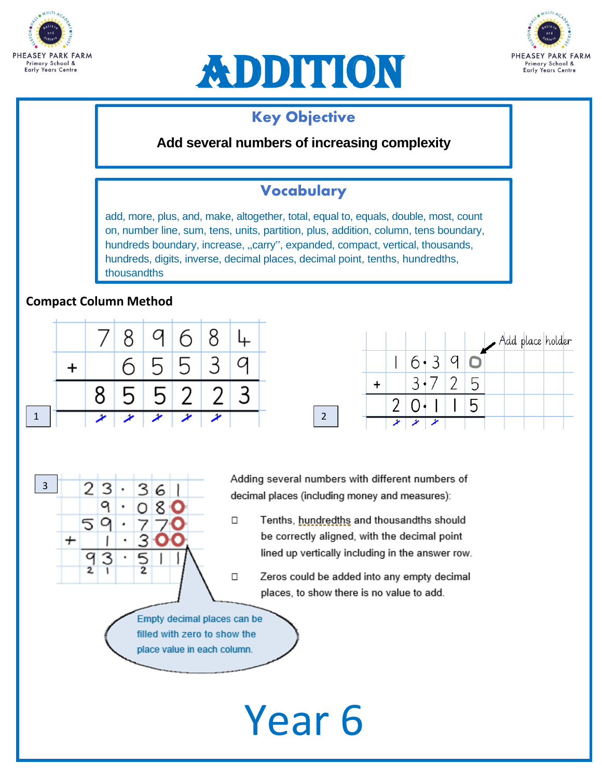![](_page_9_Picture_0.jpeg)

![](_page_9_Picture_1.jpeg)

![](_page_9_Picture_2.jpeg)

## **Key Objective**

**Add several numbers of increasing complexity**

## Vocabulary

Year 6 Key Objective add, more, plus, and, make, altogether, total, equal to, equals, double, most, count on, number line, sum, tens, units, partition, plus, addition, column, tens boundary, hundreds boundary, increase, "carry", expanded, compact, vertical, thousands, hundreds, digits, inverse, decimal places, decimal point, tenths, hundredths, thousandths

### **Compact Column Method**

3

2 3

 $\bm{+}$ 

9

59

9 3

 $\overline{2}$ 

|  |  | 789684     |           |  |
|--|--|------------|-----------|--|
|  |  | 6 5 5 3 9  |           |  |
|  |  | 8 5 5 2 23 |           |  |
|  |  |            | $\lambda$ |  |

З 6

 $\overline{5}$ 

Add place holder  $6.39$  $\mathbf{L}$ O  $\overline{2}$  $3\cdot 7$ 5  $+$  $\overline{5}$ 2 0. ◢

Adding several numbers with different numbers of decimal places (including money and measures):

- Tenths, hundredths and thousandths should  $\Box$ be correctly aligned, with the decimal point lined up vertically including in the answer row.
	- Zeros could be added into any empty decimal places, to show there is no value to add.

Empty decimal places can be filled with zero to show the place value in each column.

 $\Box$